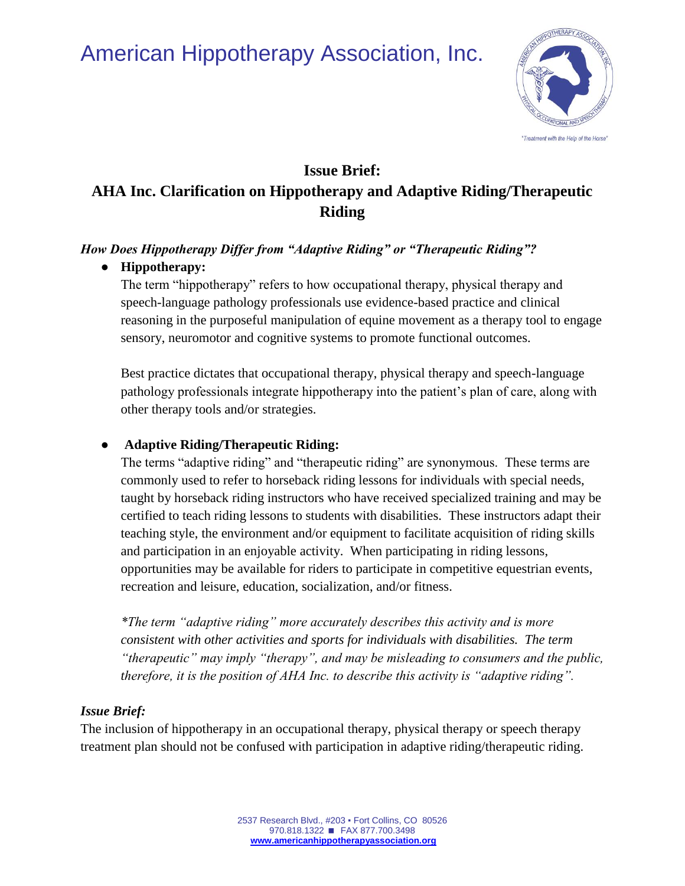# American Hippotherapy Association, Inc.



## **Issue Brief: AHA Inc. Clarification on Hippotherapy and Adaptive Riding/Therapeutic Riding**

#### *How Does Hippotherapy Differ from "Adaptive Riding" or "Therapeutic Riding"?*

#### ● **Hippotherapy:**

The term "hippotherapy" refers to how occupational therapy, physical therapy and speech-language pathology professionals use evidence-based practice and clinical reasoning in the purposeful manipulation of equine movement as a therapy tool to engage sensory, neuromotor and cognitive systems to promote functional outcomes.

Best practice dictates that occupational therapy, physical therapy and speech-language pathology professionals integrate hippotherapy into the patient's plan of care, along with other therapy tools and/or strategies.

#### ● **Adaptive Riding/Therapeutic Riding:**

The terms "adaptive riding" and "therapeutic riding" are synonymous. These terms are commonly used to refer to horseback riding lessons for individuals with special needs, taught by horseback riding instructors who have received specialized training and may be certified to teach riding lessons to students with disabilities. These instructors adapt their teaching style, the environment and/or equipment to facilitate acquisition of riding skills and participation in an enjoyable activity. When participating in riding lessons, opportunities may be available for riders to participate in competitive equestrian events, recreation and leisure, education, socialization, and/or fitness.

*\*The term "adaptive riding" more accurately describes this activity and is more consistent with other activities and sports for individuals with disabilities. The term "therapeutic" may imply "therapy", and may be misleading to consumers and the public, therefore, it is the position of AHA Inc. to describe this activity is "adaptive riding".*

### *Issue Brief:*

The inclusion of hippotherapy in an occupational therapy, physical therapy or speech therapy treatment plan should not be confused with participation in adaptive riding/therapeutic riding.